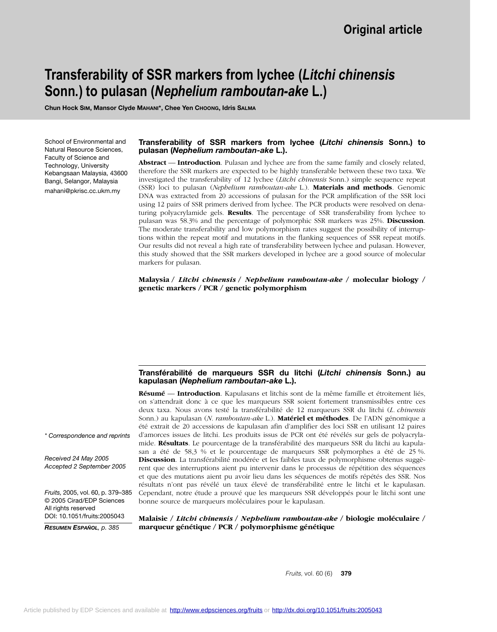# **Transferability of SSR markers from lychee (***Litchi chinensis* **Sonn.) to pulasan (***Nephelium ramboutan-ake* **L.)**

**Chun Hock SIM, Mansor Clyde MAHANI\*, Chee Yen CHOONG, Idris SALMA**

School of Environmental and Natural Resource Sciences, Faculty of Science and Technology, University Kebangsaan Malaysia, 43600 Bangi, Selangor, Malaysia mahani@pkrisc.cc.ukm.my

## **Transferability of SSR markers from lychee (***Litchi chinensis* **Sonn.) to pulasan (***Nephelium ramboutan-ake* **L.).**

**Abstract — Introduction**. Pulasan and lychee are from the same family and closely related, therefore the SSR markers are expected to be highly transferable between these two taxa. We investigated the transferability of 12 lychee (*Litchi chinensis* Sonn.) simple sequence repeat (SSR) loci to pulasan (*Nephelium ramboutan-ake* L.). **Materials and methods**. Genomic DNA was extracted from 20 accessions of pulasan for the PCR amplification of the SSR loci using 12 pairs of SSR primers derived from lychee. The PCR products were resolved on denaturing polyacrylamide gels. **Results**. The percentage of SSR transferability from lychee to pulasan was 58.3% and the percentage of polymorphic SSR markers was 25%. **Discussion**. The moderate transferability and low polymorphism rates suggest the possibility of interruptions within the repeat motif and mutations in the flanking sequences of SSR repeat motifs. Our results did not reveal a high rate of transferability between lychee and pulasan. However, this study showed that the SSR markers developed in lychee are a good source of molecular markers for pulasan.

**Malaysia /** *Litchi chinensis* **/** *Nephelium ramboutan-ake* **/ molecular biology / genetic markers / PCR / genetic polymorphism**

## **Transférabilité de marqueurs SSR du litchi (***Litchi chinensis* **Sonn.) au kapulasan (***Nephelium ramboutan-ake* **L.).**

**Résumé** –– **Introduction**. Kapulasans et litchis sont de la même famille et étroitement liés, on s'attendrait donc à ce que les marqueurs SSR soient fortement transmissibles entre ces deux taxa. Nous avons testé la transférabilité de 12 marqueurs SSR du litchi (*L. chinensis* Sonn.) au kapulasan (*N. ramboutan-ake* L.). **Matériel et méthodes**. De l'ADN génomique a été extrait de 20 accessions de kapulasan afin d'amplifier des loci SSR en utilisant 12 paires d'amorces issues de litchi. Les produits issus de PCR ont été révélés sur gels de polyacrylamide. **Résultats**. Le pourcentage de la transférabilité des marqueurs SSR du litchi au kapulasan a été de 58,3 % et le pourcentage de marqueurs SSR polymorphes a été de 25 %. **Discussion**. La transférabilité modérée et les faibles taux de polymorphisme obtenus suggèrent que des interruptions aient pu intervenir dans le processus de répétition des séquences et que des mutations aient pu avoir lieu dans les séquences de motifs répétés des SSR. Nos résultats n'ont pas révélé un taux élevé de transférabilité entre le litchi et le kapulasan. Cependant, notre étude a prouvé que les marqueurs SSR développés pour le litchi sont une bonne source de marqueurs moléculaires pour le kapulasan.

**Malaisie /** *Litchi chinensis* **/** *Nephelium ramboutan-ake* **/ biologie moléculaire / marqueur génétique / PCR / polymorphisme génétique**

*\* Correspondence and reprints*

*Received 24 May 2005 Accepted 2 September 2005*

*Fruits,* 2005, vol. 60, p. 379–385 © 2005 Cirad/EDP Sciences All rights reserved DOI: 10.1051/fruits:2005043

*RESUMEN ESPAÑOL, p. 385*

*Fruits,* vol. 60 (6) **379**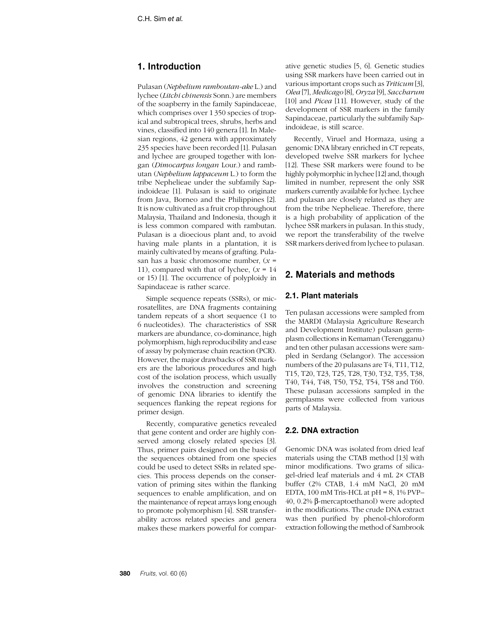## **1. Introduction**

Pulasan (*Nephelium ramboutan-ake* L.) and lychee (*Litchi chinensis* Sonn.) are members of the soapberry in the family Sapindaceae, which comprises over 1350 species of tropical and subtropical trees, shrubs, herbs and vines, classified into 140 genera [1]. In Malesian regions, 42 genera with approximately 235 species have been recorded [1]. Pulasan and lychee are grouped together with longan (*Dimocarpus longan* Lour.) and rambutan (*Nephelium lappaceum* L.) to form the tribe Nephelieae under the subfamily Sapindoideae [1]. Pulasan is said to originate from Java, Borneo and the Philippines [2]. It is now cultivated as a fruit crop throughout Malaysia, Thailand and Indonesia, though it is less common compared with rambutan. Pulasan is a dioecious plant and, to avoid having male plants in a plantation, it is mainly cultivated by means of grafting. Pulasan has a basic chromosome number, (*x* = 11), compared with that of lychee,  $(x = 14)$ or 15) [1]. The occurrence of polyploidy in Sapindaceae is rather scarce.

Simple sequence repeats (SSRs), or microsatellites, are DNA fragments containing tandem repeats of a short sequence (1 to 6 nucleotides). The characteristics of SSR markers are abundance, co-dominance, high polymorphism, high reproducibility and ease of assay by polymerase chain reaction (PCR). However, the major drawbacks of SSR markers are the laborious procedures and high cost of the isolation process, which usually involves the construction and screening of genomic DNA libraries to identify the sequences flanking the repeat regions for primer design.

Recently, comparative genetics revealed that gene content and order are highly conserved among closely related species [3]. Thus, primer pairs designed on the basis of the sequences obtained from one species could be used to detect SSRs in related species. This process depends on the conservation of priming sites within the flanking sequences to enable amplification, and on the maintenance of repeat arrays long enough to promote polymorphism [4]. SSR transferability across related species and genera makes these markers powerful for comparative genetic studies [5, 6]. Genetic studies using SSR markers have been carried out in various important crops such as *Triticum* [3], *Olea* [7], *Medicago* [8], *Oryza* [9], *Saccharum* [10] and *Picea* [11]. However, study of the development of SSR markers in the family Sapindaceae, particularly the subfamily Sapindoideae, is still scarce.

Recently, Viruel and Hormaza, using a genomic DNA library enriched in CT repeats, developed twelve SSR markers for lychee [12]. These SSR markers were found to be highly polymorphic in lychee [12] and, though limited in number, represent the only SSR markers currently available for lychee. Lychee and pulasan are closely related as they are from the tribe Nephelieae. Therefore, there is a high probability of application of the lychee SSR markers in pulasan. In this study, we report the transferability of the twelve SSR markers derived from lychee to pulasan.

# **2. Materials and methods**

## **2.1. Plant materials**

Ten pulasan accessions were sampled from the MARDI (Malaysia Agriculture Research and Development Institute) pulasan germplasm collections in Kemaman (Terengganu) and ten other pulasan accessions were sampled in Serdang (Selangor). The accession numbers of the 20 pulasans are T4, T11, T12, T15, T20, T23, T25, T28, T30, T32, T35, T38, T40, T44, T48, T50, T52, T54, T58 and T60. These pulasan accessions sampled in the germplasms were collected from various parts of Malaysia.

## **2.2. DNA extraction**

Genomic DNA was isolated from dried leaf materials using the CTAB method [13] with minor modifications. Two grams of silicagel-dried leaf materials and 4 mL 2× CTAB buffer (2% CTAB, 1.4 mM NaCl, 20 mM EDTA,  $100 \text{ mM Tris-HCL}$  at  $pH = 8$ ,  $1\%$  PVP– 40, 0.2% β-mercaptoethanol) were adopted in the modifications. The crude DNA extract was then purified by phenol-chloroform extraction following the method of Sambrook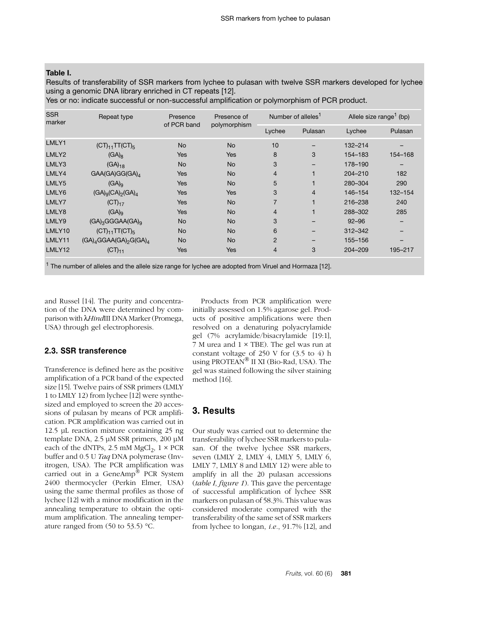#### **Table I.**

Results of transferability of SSR markers from lychee to pulasan with twelve SSR markers developed for lychee using a genomic DNA library enriched in CT repeats [12].

Yes or no: indicate successful or non-successful amplification or polymorphism of PCR product.

| <b>SSR</b><br>marker                                                                                     | Repeat type                                   | Presence<br>of PCR band | Presence of<br>polymorphism | Number of alleles <sup>1</sup> |                          | Allele size range <sup>1</sup> (bp) |         |
|----------------------------------------------------------------------------------------------------------|-----------------------------------------------|-------------------------|-----------------------------|--------------------------------|--------------------------|-------------------------------------|---------|
|                                                                                                          |                                               |                         |                             | Lychee                         | Pulasan                  | Lychee                              | Pulasan |
| LMLY1                                                                                                    | $(CT)_{11}TT(CT)_{5}$                         | <b>No</b>               | <b>No</b>                   | 10                             |                          | $132 - 214$                         |         |
| LMLY2                                                                                                    | $(GA)_8$                                      | <b>Yes</b>              | Yes                         | 8                              | 3                        | 154-183                             | 154-168 |
| LMLY3                                                                                                    | $(GA)_{18}$                                   | <b>No</b>               | <b>No</b>                   | 3                              |                          | 178-190                             |         |
| LMLY4                                                                                                    | GAA(GA)GG(GA) <sub>A</sub>                    | <b>Yes</b>              | <b>No</b>                   | $\overline{4}$                 |                          | 204-210                             | 182     |
| LMLY5                                                                                                    | $(GA)_{9}$                                    | <b>Yes</b>              | <b>No</b>                   | 5                              |                          | 280-304                             | 290     |
| LMLY6                                                                                                    | $(GA)_{9}(CA)_{2}(GA)_{4}$                    | <b>Yes</b>              | Yes                         | 3                              | $\overline{4}$           | 146-154                             | 132-154 |
| LMLY7                                                                                                    | $(CT)_{17}$                                   | <b>Yes</b>              | <b>No</b>                   | $\overline{7}$                 |                          | 216-238                             | 240     |
| LMLY8                                                                                                    | $(GA)_{9}$                                    | <b>Yes</b>              | <b>No</b>                   | 4                              | 1                        | 288-302                             | 285     |
| LMLY9                                                                                                    | $(GA)$ <sub>3</sub> GGGAA $(GA)$ <sub>9</sub> | <b>No</b>               | <b>No</b>                   | 3                              | -                        | $92 - 96$                           |         |
| LMLY10                                                                                                   | $(CT)_{11}TT(CT)_{5}$                         | <b>No</b>               | <b>No</b>                   | 6                              | -                        | $312 - 342$                         |         |
| LMLY11                                                                                                   | $(GA)4GGAA(GA)2G(GA)4$                        | No                      | <b>No</b>                   | $\overline{2}$                 | $\overline{\phantom{0}}$ | 155-156                             |         |
| LMLY12                                                                                                   | $(CT)_{11}$                                   | <b>Yes</b>              | Yes                         | 4                              | 3                        | 204-209                             | 195-217 |
| $1$ The number of alleles and the allele size range for lychee are adopted from Viruel and Hormaza [12]. |                                               |                         |                             |                                |                          |                                     |         |

and Russel [14]. The purity and concentration of the DNA were determined by comparison with λ*Hind*III DNA Marker (Promega, USA) through gel electrophoresis.

#### **2.3. SSR transference**

Transference is defined here as the positive amplification of a PCR band of the expected size [15]. Twelve pairs of SSR primers (LMLY 1 to LMLY 12) from lychee [12] were synthesized and employed to screen the 20 accessions of pulasan by means of PCR amplification. PCR amplification was carried out in 12.5 µL reaction mixture containing 25 ng template DNA, 2.5 µM SSR primers, 200 µM each of the dNTPs, 2.5 mM  $MgCl<sub>2</sub>$ , 1 × PCR buffer and 0.5 U *Taq* DNA polymerase (Invitrogen, USA). The PCR amplification was carried out in a GeneAmp® PCR System 2400 thermocycler (Perkin Elmer, USA) using the same thermal profiles as those of lychee [12] with a minor modification in the annealing temperature to obtain the optimum amplification. The annealing temperature ranged from (50 to 53.5) °C.

Products from PCR amplification were initially assessed on 1.5% agarose gel. Products of positive amplifications were then resolved on a denaturing polyacrylamide gel (7% acrylamide/bisacrylamide [19:1], 7 M urea and  $1 \times$  TBE). The gel was run at constant voltage of 250 V for (3.5 to 4) h using PROTEAN® II XI (Bio-Rad, USA). The gel was stained following the silver staining method [16].

# **3. Results**

Our study was carried out to determine the transferability of lychee SSR markers to pulasan. Of the twelve lychee SSR markers, seven (LMLY 2, LMLY 4, LMLY 5, LMLY 6, LMLY 7, LMLY 8 and LMLY 12) were able to amplify in all the 20 pulasan accessions (*table I*, *figure 1*). This gave the percentage of successful amplification of lychee SSR markers on pulasan of 58.3%. This value was considered moderate compared with the transferability of the same set of SSR markers from lychee to longan, *i.e.*, 91.7% [12], and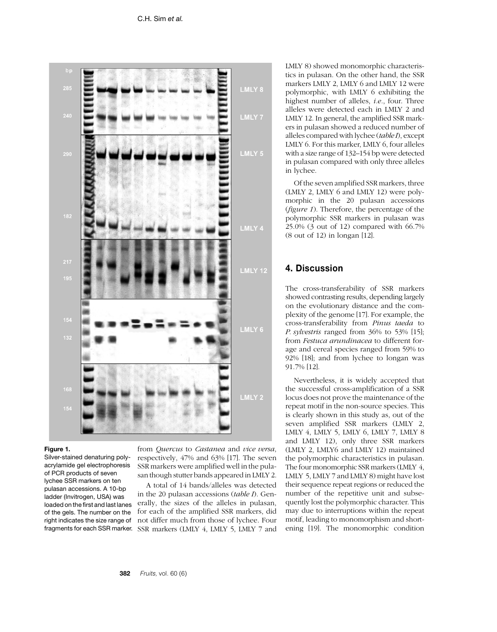

#### **Figure 1.**

Silver-stained denaturing polyacrylamide gel electrophoresis of PCR products of seven lychee SSR markers on ten pulasan accessions. A 10-bp ladder (Invitrogen, USA) was loaded on the first and last lanes of the gels. The number on the right indicates the size range of fragments for each SSR marker.

from *Quercus* to *Castanea* and *vice versa*, respectively, 47% and 63% [17]. The seven SSR markers were amplified well in the pulasan though stutter bands appeared in LMLY 2.

A total of 14 bands/alleles was detected in the 20 pulasan accessions (*table I*). Generally, the sizes of the alleles in pulasan, for each of the amplified SSR markers, did not differ much from those of lychee. Four SSR markers (LMLY 4, LMLY 5, LMLY 7 and LMLY 8) showed monomorphic characteristics in pulasan. On the other hand, the SSR markers LMLY 2, LMLY 6 and LMLY 12 were polymorphic, with LMLY 6 exhibiting the highest number of alleles, *i.e.*, four. Three alleles were detected each in LMLY 2 and LMLY 12. In general, the amplified SSR markers in pulasan showed a reduced number of alleles compared with lychee (*table I*), except LMLY 6. For this marker, LMLY 6, four alleles with a size range of 132–154 bp were detected in pulasan compared with only three alleles in lychee.

Of the seven amplified SSR markers, three (LMLY 2, LMLY 6 and LMLY 12) were polymorphic in the 20 pulasan accessions (*figure 1*). Therefore, the percentage of the polymorphic SSR markers in pulasan was 25.0% (3 out of 12) compared with 66.7% (8 out of 12) in longan [12].

# **4. Discussion**

The cross-transferability of SSR markers showed contrasting results, depending largely on the evolutionary distance and the complexity of the genome [17]. For example, the cross-transferability from *Pinus taeda* to *P. sylvestris* ranged from 36% to 53% [15]; from *Festuca arundinacea* to different forage and cereal species ranged from 59% to 92% [18]; and from lychee to longan was 91.7% [12].

Nevertheless, it is widely accepted that the successful cross-amplification of a SSR locus does not prove the maintenance of the repeat motif in the non-source species. This is clearly shown in this study as, out of the seven amplified SSR markers (LMLY 2, LMLY 4, LMLY 5, LMLY 6, LMLY 7, LMLY 8 and LMLY 12), only three SSR markers (LMLY 2, LMLY6 and LMLY 12) maintained the polymorphic characteristics in pulasan. The four monomorphic SSR markers (LMLY 4, LMLY 5, LMLY 7 and LMLY 8) might have lost their sequence repeat regions or reduced the number of the repetitive unit and subsequently lost the polymorphic character. This may due to interruptions within the repeat motif, leading to monomorphism and shortening [19]. The monomorphic condition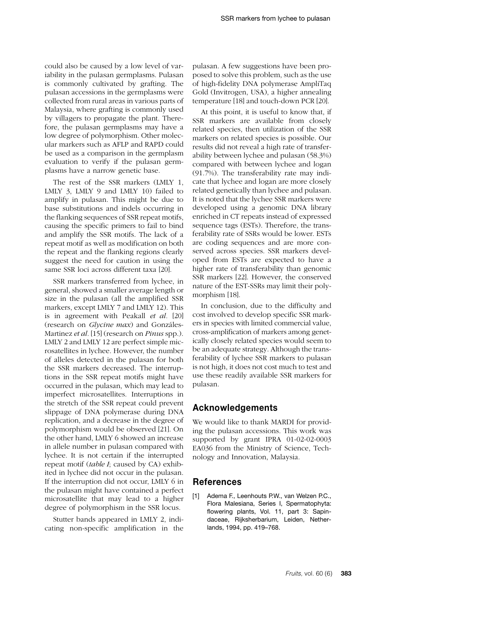could also be caused by a low level of variability in the pulasan germplasms. Pulasan is commonly cultivated by grafting. The pulasan accessions in the germplasms were collected from rural areas in various parts of Malaysia, where grafting is commonly used by villagers to propagate the plant. Therefore, the pulasan germplasms may have a low degree of polymorphism. Other molecular markers such as AFLP and RAPD could be used as a comparison in the germplasm evaluation to verify if the pulasan germplasms have a narrow genetic base.

The rest of the SSR markers (LMLY 1, LMLY 3, LMLY 9 and LMLY 10) failed to amplify in pulasan. This might be due to base substitutions and indels occurring in the flanking sequences of SSR repeat motifs, causing the specific primers to fail to bind and amplify the SSR motifs. The lack of a repeat motif as well as modification on both the repeat and the flanking regions clearly suggest the need for caution in using the same SSR loci across different taxa [20].

SSR markers transferred from lychee, in general, showed a smaller average length or size in the pulasan (all the amplified SSR markers, except LMLY 7 and LMLY 12). This is in agreement with Peakall *et al.* [20] (research on *Glycine max*) and Gonzáles-Martinez *et al.* [15] (research on *Pinus* spp.). LMLY 2 and LMLY 12 are perfect simple microsatellites in lychee. However, the number of alleles detected in the pulasan for both the SSR markers decreased. The interruptions in the SSR repeat motifs might have occurred in the pulasan, which may lead to imperfect microsatellites. Interruptions in the stretch of the SSR repeat could prevent slippage of DNA polymerase during DNA replication, and a decrease in the degree of polymorphism would be observed [21]. On the other hand, LMLY 6 showed an increase in allele number in pulasan compared with lychee. It is not certain if the interrupted repeat motif (*table I*; caused by CA) exhibited in lychee did not occur in the pulasan. If the interruption did not occur, LMLY 6 in the pulasan might have contained a perfect microsatellite that may lead to a higher degree of polymorphism in the SSR locus.

Stutter bands appeared in LMLY 2, indicating non-specific amplification in the pulasan. A few suggestions have been proposed to solve this problem, such as the use of high-fidelity DNA polymerase AmpliTaq Gold (Invitrogen, USA), a higher annealing temperature [18] and touch-down PCR [20].

At this point, it is useful to know that, if SSR markers are available from closely related species, then utilization of the SSR markers on related species is possible. Our results did not reveal a high rate of transferability between lychee and pulasan (58.3%) compared with between lychee and logan (91.7%). The transferability rate may indicate that lychee and logan are more closely related genetically than lychee and pulasan. It is noted that the lychee SSR markers were developed using a genomic DNA library enriched in CT repeats instead of expressed sequence tags (ESTs). Therefore, the transferability rate of SSRs would be lower. ESTs are coding sequences and are more conserved across species. SSR markers developed from ESTs are expected to have a higher rate of transferability than genomic SSR markers [22]. However, the conserved nature of the EST-SSRs may limit their polymorphism [18].

In conclusion, due to the difficulty and cost involved to develop specific SSR markers in species with limited commercial value, cross-amplification of markers among genetically closely related species would seem to be an adequate strategy. Although the transferability of lychee SSR markers to pulasan is not high, it does not cost much to test and use these readily available SSR markers for pulasan.

## **Acknowledgements**

We would like to thank MARDI for providing the pulasan accessions. This work was supported by grant IPRA 01-02-02-0003 EA036 from the Ministry of Science, Technology and Innovation, Malaysia.

## **References**

[1] Adema F., Leenhouts P.W., van Welzen P.C., Flora Malesiana, Series I, Spermatophyta: flowering plants, Vol. 11, part 3: Sapindaceae, Rijksherbarium, Leiden, Netherlands, 1994, pp. 419–768.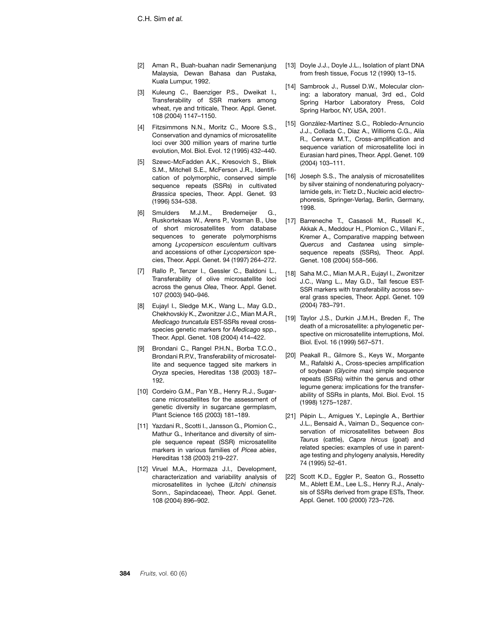- [2] Aman R., Buah-buahan nadir Semenanjung Malaysia, Dewan Bahasa dan Pustaka, Kuala Lumpur, 1992.
- [3] Kuleung C., Baenziger P.S., Dweikat I., Transferability of SSR markers among wheat, rye and triticale, Theor. Appl. Genet. 108 (2004) 1147–1150.
- [4] Fitzsimmons N.N., Moritz C., Moore S.S., Conservation and dynamics of microsatellite loci over 300 million years of marine turtle evolution, Mol. Biol. Evol. 12 (1995) 432–440.
- [5] Szewc-McFadden A.K., Kresovich S., Bliek S.M., Mitchell S.E., McFerson J.R., Identification of polymorphic, conserved simple sequence repeats (SSRs) in cultivated *Brassica* species, Theor. Appl. Genet. 93 (1996) 534–538.
- [6] Smulders M.J.M., Bredemeijer G., Ruskortekaas W., Arens P., Vosman B., Use of short microsatellites from database sequences to generate polymorphisms among *Lycopersicon esculentum* cultivars and accessions of other *Lycopersicon* species, Theor. Appl. Genet. 94 (1997) 264–272.
- [7] Rallo P., Tenzer I., Gessler C., Baldoni L., Transferability of olive microsatellite loci across the genus *Olea*, Theor. Appl. Genet. 107 (2003) 940–946.
- [8] Eujayl I., Sledge M.K., Wang L., May G.D., Chekhovskiy K., Zwonitzer J.C., Mian M.A.R., *Medicago truncatula* EST-SSRs reveal crossspecies genetic markers for *Medicago* spp., Theor. Appl. Genet. 108 (2004) 414–422.
- [9] Brondani C., Rangel P.H.N., Borba T.C.O., Brondani R.P.V., Transferability of microsatellite and sequence tagged site markers in *Oryza* species, Hereditas 138 (2003) 187– 192.
- [10] Cordeiro G.M., Pan Y.B., Henry R.J., Sugarcane microsatellites for the assessment of genetic diversity in sugarcane germplasm, Plant Science 165 (2003) 181–189.
- [11] Yazdani R., Scotti I., Jansson G., Plomion C., Mathur G., Inheritance and diversity of simple sequence repeat (SSR) microsatellite markers in various families of *Picea abies*, Hereditas 138 (2003) 219–227.
- [12] Viruel M.A., Hormaza J.I., Development, characterization and variability analysis of microsatellites in lychee (*Litchi chinensis* Sonn., Sapindaceae), Theor. Appl. Genet. 108 (2004) 896–902.
- [13] Doyle J.J., Doyle J.L., Isolation of plant DNA from fresh tissue, Focus 12 (1990) 13–15.
- [14] Sambrook J., Russel D.W., Molecular cloning: a laboratory manual, 3rd ed., Cold Spring Harbor Laboratory Press, Cold Spring Harbor, NY, USA, 2001.
- [15] González-Martínez S.C., Robledo-Arnuncio J.J., Collada C., Díaz A., Willioms C.G., Alía R., Cervera M.T., Cross-amplification and sequence variation of microsatellite loci in Eurasian hard pines, Theor. Appl. Genet. 109 (2004) 103–111.
- [16] Joseph S.S., The analysis of microsatellites by silver staining of nondenaturing polyacrylamide gels, in: Tietz D., Nucleic acid electrophoresis, Springer-Verlag, Berlin, Germany, 1998.
- [17] Barreneche T., Casasoli M., Russell K., Akkak A., Meddour H., Plomion C., Villani F., Kremer A., Comparative mapping between *Quercus* and *Castanea* using simplesequence repeats (SSRs), Theor. Appl. Genet. 108 (2004) 558–566.
- [18] Saha M.C., Mian M.A.R., Eujayl I., Zwonitzer J.C., Wang L., May G.D., Tall fescue EST-SSR markers with transferability across several grass species, Theor. Appl. Genet. 109 (2004) 783–791.
- [19] Taylor J.S., Durkin J.M.H., Breden F., The death of a microsatellite: a phylogenetic perspective on microsatellite interruptions, Mol. Biol. Evol. 16 (1999) 567–571.
- [20] Peakall R., Gilmore S., Keys W., Morgante M., Rafalski A., Cross-species amplification of soybean (*Glycine max*) simple sequence repeats (SSRs) within the genus and other legume genera: implications for the transferability of SSRs in plants, Mol. Biol. Evol. 15 (1998) 1275–1287.
- [21] Pépin L., Amigues Y., Lepingle A., Berthier J.L., Bensaid A., Vaiman D., Sequence conservation of microsatellites between *Bos Taurus* (cattle), *Capra hircus* (goat) and related species: examples of use in parentage testing and phylogeny analysis, Heredity 74 (1995) 52–61.
- [22] Scott K.D., Eggler P., Seaton G., Rossetto M., Ablett E.M., Lee L.S., Henry R.J., Analysis of SSRs derived from grape ESTs, Theor. Appl. Genet. 100 (2000) 723–726.